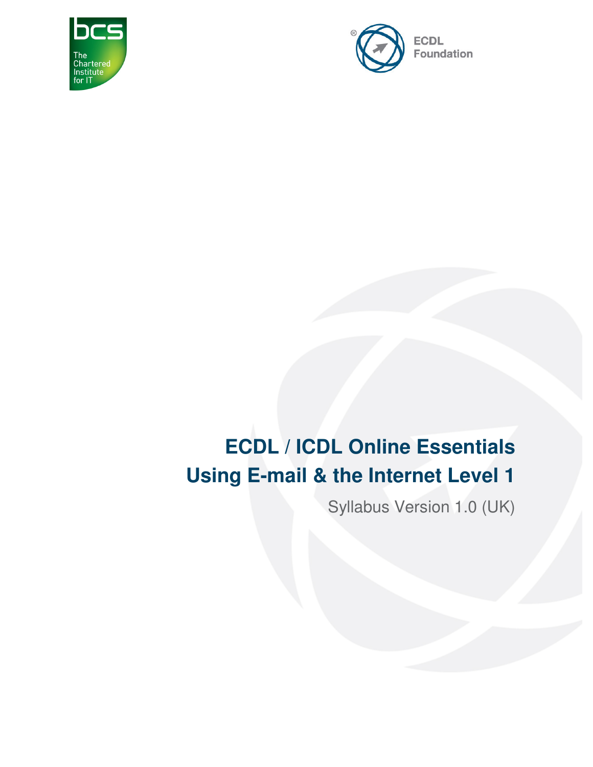



# **ECDL / ICDL Online Essentials Using E-mail & the Internet Level 1**

Syllabus Version 1.0 (UK)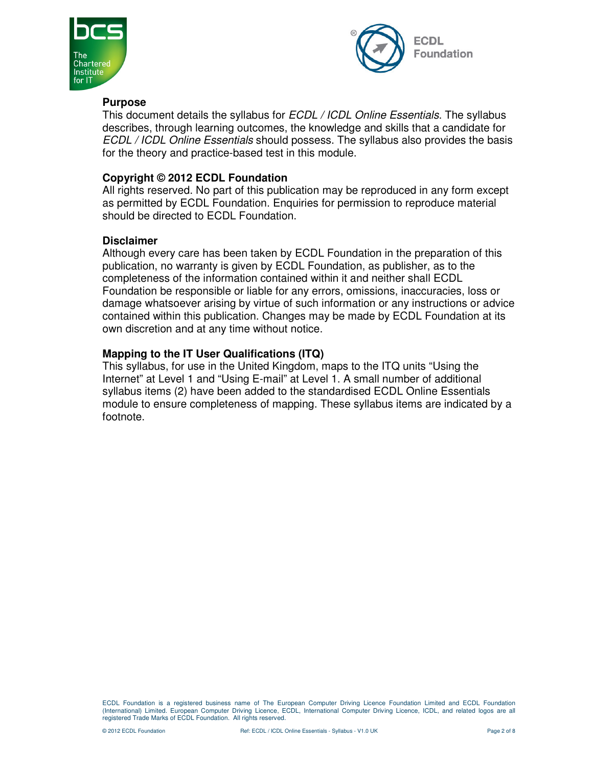



#### **Purpose**

This document details the syllabus for *ECDL / ICDL Online Essentials*. The syllabus describes, through learning outcomes, the knowledge and skills that a candidate for ECDL / ICDL Online Essentials should possess. The syllabus also provides the basis for the theory and practice-based test in this module.

#### **Copyright © 2012 ECDL Foundation**

All rights reserved. No part of this publication may be reproduced in any form except as permitted by ECDL Foundation. Enquiries for permission to reproduce material should be directed to ECDL Foundation.

#### **Disclaimer**

Although every care has been taken by ECDL Foundation in the preparation of this publication, no warranty is given by ECDL Foundation, as publisher, as to the completeness of the information contained within it and neither shall ECDL Foundation be responsible or liable for any errors, omissions, inaccuracies, loss or damage whatsoever arising by virtue of such information or any instructions or advice contained within this publication. Changes may be made by ECDL Foundation at its own discretion and at any time without notice.

#### **Mapping to the IT User Qualifications (ITQ)**

This syllabus, for use in the United Kingdom, maps to the ITQ units "Using the Internet" at Level 1 and "Using E-mail" at Level 1. A small number of additional syllabus items (2) have been added to the standardised ECDL Online Essentials module to ensure completeness of mapping. These syllabus items are indicated by a footnote.

ECDL Foundation is a registered business name of The European Computer Driving Licence Foundation Limited and ECDL Foundation (International) Limited. European Computer Driving Licence, ECDL, International Computer Driving Licence, ICDL, and related logos are all registered Trade Marks of ECDL Foundation. All rights reserved.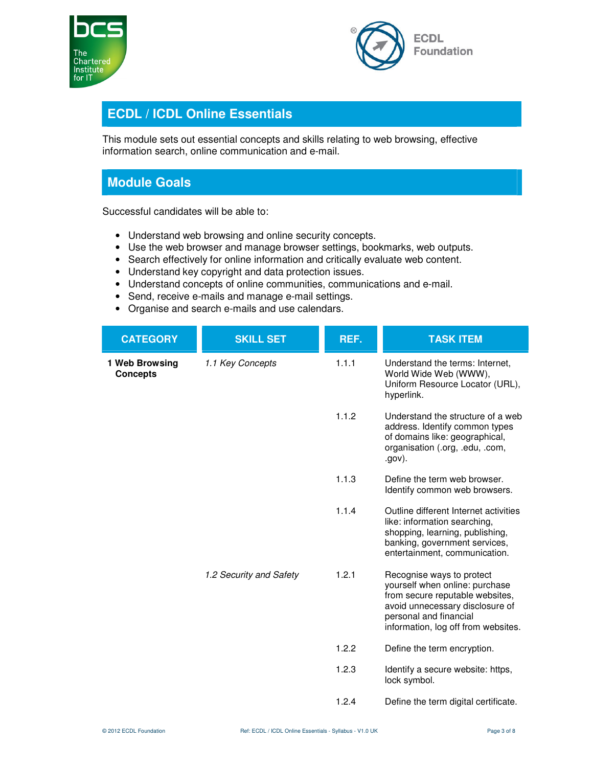



## **ECDL / ICDL Online Essentials**

This module sets out essential concepts and skills relating to web browsing, effective information search, online communication and e-mail.

### **Module Goals**

Successful candidates will be able to:

- Understand web browsing and online security concepts.
- Use the web browser and manage browser settings, bookmarks, web outputs.
- Search effectively for online information and critically evaluate web content.
- Understand key copyright and data protection issues.
- Understand concepts of online communities, communications and e-mail.
- Send, receive e-mails and manage e-mail settings.
- Organise and search e-mails and use calendars.

| <b>CATEGORY</b>                   | <b>SKILL SET</b>        | REF.  | <b>TASK ITEM</b>                                                                                                                                                                                   |
|-----------------------------------|-------------------------|-------|----------------------------------------------------------------------------------------------------------------------------------------------------------------------------------------------------|
| 1 Web Browsing<br><b>Concepts</b> | 1.1 Key Concepts        | 1.1.1 | Understand the terms: Internet,<br>World Wide Web (WWW),<br>Uniform Resource Locator (URL),<br>hyperlink.                                                                                          |
|                                   |                         | 1.1.2 | Understand the structure of a web<br>address. Identify common types<br>of domains like: geographical,<br>organisation (.org, .edu, .com,<br>.gov).                                                 |
|                                   |                         | 1.1.3 | Define the term web browser.<br>Identify common web browsers.                                                                                                                                      |
|                                   |                         | 1.1.4 | Outline different Internet activities<br>like: information searching,<br>shopping, learning, publishing,<br>banking, government services,<br>entertainment, communication.                         |
|                                   | 1.2 Security and Safety | 1.2.1 | Recognise ways to protect<br>yourself when online: purchase<br>from secure reputable websites,<br>avoid unnecessary disclosure of<br>personal and financial<br>information, log off from websites. |
|                                   |                         | 1.2.2 | Define the term encryption.                                                                                                                                                                        |
|                                   |                         | 1.2.3 | Identify a secure website: https,<br>lock symbol.                                                                                                                                                  |
|                                   |                         | 1.2.4 | Define the term digital certificate.                                                                                                                                                               |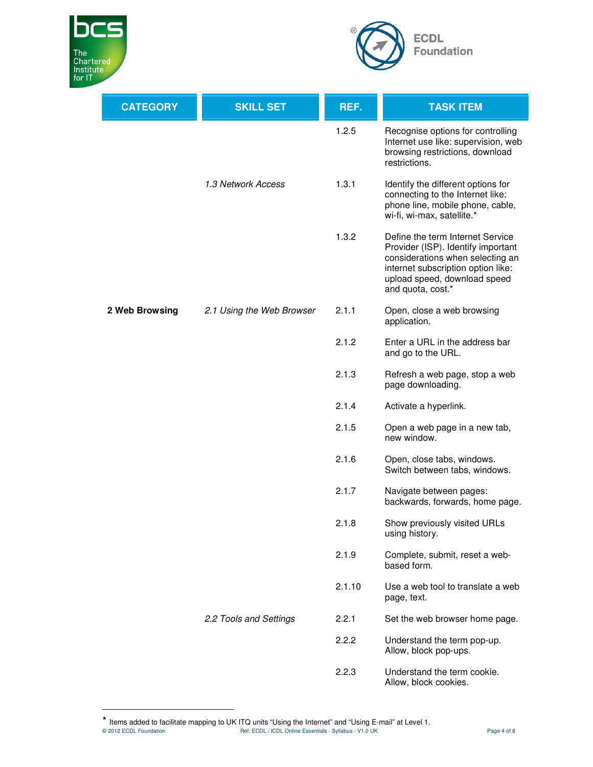

 $\overline{a}$ 



| <b>CATEGORY</b> | <b>SKILL SET</b>          | REF.   | <b>TASK ITEM</b>                                                                                                                                                                                      |
|-----------------|---------------------------|--------|-------------------------------------------------------------------------------------------------------------------------------------------------------------------------------------------------------|
|                 |                           | 1.2.5  | Recognise options for controlling<br>Internet use like: supervision, web<br>browsing restrictions, download<br>restrictions.                                                                          |
|                 | 1.3 Network Access        | 1.3.1  | Identify the different options for<br>connecting to the Internet like:<br>phone line, mobile phone, cable,<br>wi-fi, wi-max, satellite.*                                                              |
|                 |                           | 1.3.2  | Define the term Internet Service<br>Provider (ISP). Identify important<br>considerations when selecting an<br>internet subscription option like:<br>upload speed, download speed<br>and quota, cost.* |
| 2 Web Browsing  | 2.1 Using the Web Browser | 2.1.1  | Open, close a web browsing<br>application.                                                                                                                                                            |
|                 |                           | 2.1.2  | Enter a URL in the address bar<br>and go to the URL.                                                                                                                                                  |
|                 |                           | 2.1.3  | Refresh a web page, stop a web<br>page downloading.                                                                                                                                                   |
|                 |                           | 2.1.4  | Activate a hyperlink.                                                                                                                                                                                 |
|                 |                           | 2.1.5  | Open a web page in a new tab,<br>new window.                                                                                                                                                          |
|                 |                           | 2.1.6  | Open, close tabs, windows.<br>Switch between tabs, windows.                                                                                                                                           |
|                 |                           | 2.1.7  | Navigate between pages:<br>backwards, forwards, home page.                                                                                                                                            |
|                 |                           | 2.1.8  | Show previously visited URLs<br>using history.                                                                                                                                                        |
|                 |                           | 2.1.9  | Complete, submit, reset a web-<br>based form.                                                                                                                                                         |
|                 |                           | 2.1.10 | Use a web tool to translate a web<br>page, text.                                                                                                                                                      |
|                 | 2.2 Tools and Settings    | 2.2.1  | Set the web browser home page.                                                                                                                                                                        |
|                 |                           | 2.2.2  | Understand the term pop-up.<br>Allow, block pop-ups.                                                                                                                                                  |
|                 |                           | 2.2.3  | Understand the term cookie.<br>Allow, block cookies.                                                                                                                                                  |

<sup>\*</sup> Items added to facilitate mapping to UK ITQ units "Using the Internet" and "Using E-mail" at Level 1.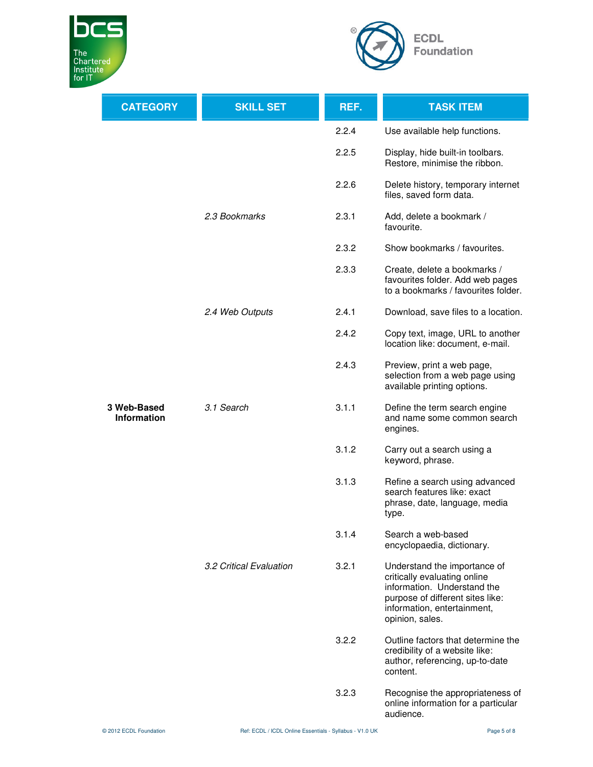



| <b>CATEGORY</b>                   | <b>SKILL SET</b>        | REF.  | <b>TASK ITEM</b>                                                                                                                                                                  |
|-----------------------------------|-------------------------|-------|-----------------------------------------------------------------------------------------------------------------------------------------------------------------------------------|
|                                   |                         | 2.2.4 | Use available help functions.                                                                                                                                                     |
|                                   |                         | 2.2.5 | Display, hide built-in toolbars.<br>Restore, minimise the ribbon.                                                                                                                 |
|                                   |                         | 2.2.6 | Delete history, temporary internet<br>files, saved form data.                                                                                                                     |
|                                   | 2.3 Bookmarks           | 2.3.1 | Add, delete a bookmark /<br>favourite.                                                                                                                                            |
|                                   |                         | 2.3.2 | Show bookmarks / favourites.                                                                                                                                                      |
|                                   |                         | 2.3.3 | Create, delete a bookmarks /<br>favourites folder. Add web pages<br>to a bookmarks / favourites folder.                                                                           |
|                                   | 2.4 Web Outputs         | 2.4.1 | Download, save files to a location.                                                                                                                                               |
|                                   |                         | 2.4.2 | Copy text, image, URL to another<br>location like: document, e-mail.                                                                                                              |
|                                   |                         | 2.4.3 | Preview, print a web page,<br>selection from a web page using<br>available printing options.                                                                                      |
| 3 Web-Based<br><b>Information</b> | 3.1 Search              | 3.1.1 | Define the term search engine<br>and name some common search<br>engines.                                                                                                          |
|                                   |                         | 3.1.2 | Carry out a search using a<br>keyword, phrase.                                                                                                                                    |
|                                   |                         | 3.1.3 | Refine a search using advanced<br>search features like: exact<br>phrase, date, language, media<br>type.                                                                           |
|                                   |                         | 3.1.4 | Search a web-based<br>encyclopaedia, dictionary.                                                                                                                                  |
|                                   | 3.2 Critical Evaluation | 3.2.1 | Understand the importance of<br>critically evaluating online<br>information. Understand the<br>purpose of different sites like:<br>information, entertainment,<br>opinion, sales. |
|                                   |                         | 3.2.2 | Outline factors that determine the<br>credibility of a website like:<br>author, referencing, up-to-date<br>content.                                                               |
|                                   |                         | 3.2.3 | Recognise the appropriateness of<br>online information for a particular<br>audience.                                                                                              |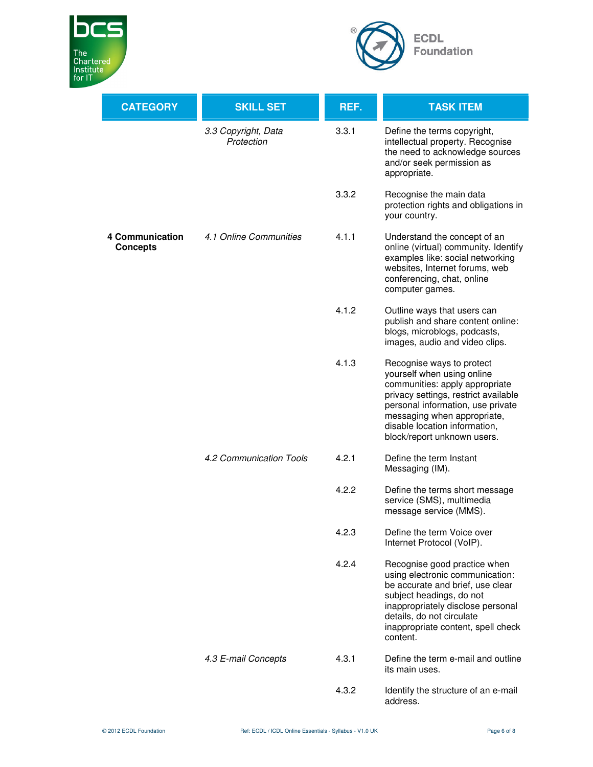



| <b>CATEGORY</b>                    | <b>SKILL SET</b>                  | REF.  | <b>TASK ITEM</b>                                                                                                                                                                                                                                                      |
|------------------------------------|-----------------------------------|-------|-----------------------------------------------------------------------------------------------------------------------------------------------------------------------------------------------------------------------------------------------------------------------|
|                                    | 3.3 Copyright, Data<br>Protection | 3.3.1 | Define the terms copyright,<br>intellectual property. Recognise<br>the need to acknowledge sources<br>and/or seek permission as<br>appropriate.                                                                                                                       |
|                                    |                                   | 3.3.2 | Recognise the main data<br>protection rights and obligations in<br>your country.                                                                                                                                                                                      |
| 4 Communication<br><b>Concepts</b> | 4.1 Online Communities            | 4.1.1 | Understand the concept of an<br>online (virtual) community. Identify<br>examples like: social networking<br>websites, Internet forums, web<br>conferencing, chat, online<br>computer games.                                                                           |
|                                    |                                   | 4.1.2 | Outline ways that users can<br>publish and share content online:<br>blogs, microblogs, podcasts,<br>images, audio and video clips.                                                                                                                                    |
|                                    |                                   | 4.1.3 | Recognise ways to protect<br>yourself when using online<br>communities: apply appropriate<br>privacy settings, restrict available<br>personal information, use private<br>messaging when appropriate,<br>disable location information,<br>block/report unknown users. |
|                                    | 4.2 Communication Tools           | 4.2.1 | Define the term Instant<br>Messaging (IM).                                                                                                                                                                                                                            |
|                                    |                                   | 4.2.2 | Define the terms short message<br>service (SMS), multimedia<br>message service (MMS).                                                                                                                                                                                 |
|                                    |                                   | 4.2.3 | Define the term Voice over<br>Internet Protocol (VoIP).                                                                                                                                                                                                               |
|                                    |                                   | 4.2.4 | Recognise good practice when<br>using electronic communication:<br>be accurate and brief, use clear<br>subject headings, do not<br>inappropriately disclose personal<br>details, do not circulate<br>inappropriate content, spell check<br>content.                   |
|                                    | 4.3 E-mail Concepts               | 4.3.1 | Define the term e-mail and outline<br>its main uses.                                                                                                                                                                                                                  |
|                                    |                                   | 4.3.2 | Identify the structure of an e-mail<br>address.                                                                                                                                                                                                                       |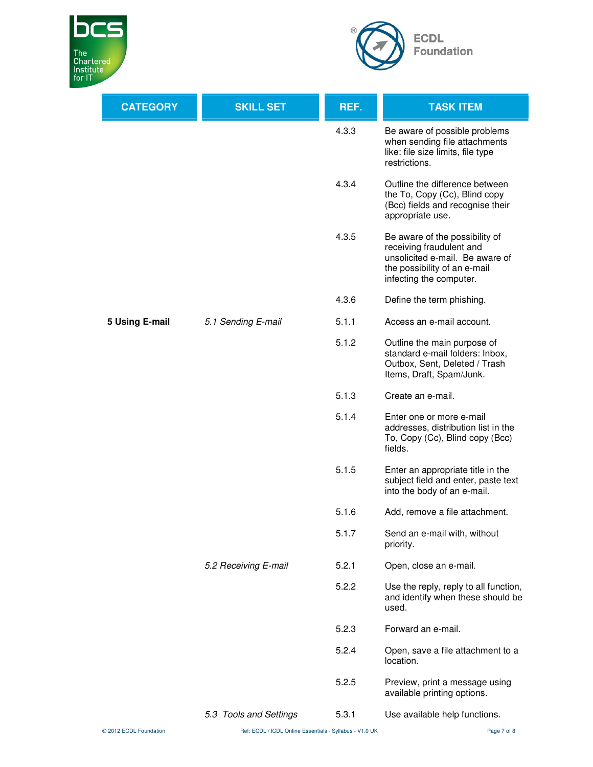



| <b>CATEGORY</b> | <b>SKILL SET</b>       | REF.  | <b>TASK ITEM</b>                                                                                                                                         |
|-----------------|------------------------|-------|----------------------------------------------------------------------------------------------------------------------------------------------------------|
|                 |                        | 4.3.3 | Be aware of possible problems<br>when sending file attachments<br>like: file size limits, file type<br>restrictions.                                     |
|                 |                        | 4.3.4 | Outline the difference between<br>the To, Copy (Cc), Blind copy<br>(Bcc) fields and recognise their<br>appropriate use.                                  |
|                 |                        | 4.3.5 | Be aware of the possibility of<br>receiving fraudulent and<br>unsolicited e-mail. Be aware of<br>the possibility of an e-mail<br>infecting the computer. |
|                 |                        | 4.3.6 | Define the term phishing.                                                                                                                                |
| 5 Using E-mail  | 5.1 Sending E-mail     | 5.1.1 | Access an e-mail account.                                                                                                                                |
|                 |                        | 5.1.2 | Outline the main purpose of<br>standard e-mail folders: Inbox,<br>Outbox, Sent, Deleted / Trash<br>Items, Draft, Spam/Junk.                              |
|                 |                        | 5.1.3 | Create an e-mail.                                                                                                                                        |
|                 |                        | 5.1.4 | Enter one or more e-mail<br>addresses, distribution list in the<br>To, Copy (Cc), Blind copy (Bcc)<br>fields.                                            |
|                 |                        | 5.1.5 | Enter an appropriate title in the<br>subject field and enter, paste text<br>into the body of an e-mail.                                                  |
|                 |                        | 5.1.6 | Add, remove a file attachment.                                                                                                                           |
|                 | 5.2 Receiving E-mail   | 5.1.7 | Send an e-mail with, without<br>priority.                                                                                                                |
|                 |                        | 5.2.1 | Open, close an e-mail.                                                                                                                                   |
|                 |                        | 5.2.2 | Use the reply, reply to all function,<br>and identify when these should be<br>used.                                                                      |
|                 |                        | 5.2.3 | Forward an e-mail.                                                                                                                                       |
|                 |                        | 5.2.4 | Open, save a file attachment to a<br>location.                                                                                                           |
|                 |                        | 5.2.5 | Preview, print a message using<br>available printing options.                                                                                            |
|                 | 5.3 Tools and Settings | 5.3.1 | Use available help functions.                                                                                                                            |